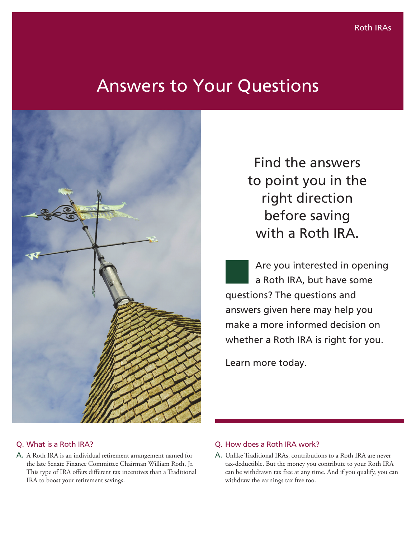# Answers to Your Questions



## Q. What is a Roth IRA?

A. A Roth IRA is an individual retirement arrangement named for the late Senate Finance Committee Chairman William Roth, Jr. This type of IRA offers different tax incentives than a Traditional IRA to boost your retirement savings.

Find the answers to point you in the right direction before saving with a Roth IRA.

Are you interested in opening a Roth IRA, but have some questions? The questions and answers given here may help you make a more informed decision on whether a Roth IRA is right for you.

Learn more today.

## Q. How does a Roth IRA work?

A. Unlike Traditional IRAs, contributions to a Roth IRA are never tax-deductible. But the money you contribute to your Roth IRA can be withdrawn tax free at any time. And if you qualify, you can withdraw the earnings tax free too.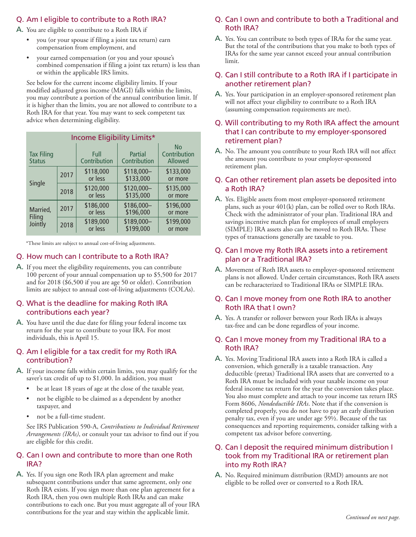# Q. Am I eligible to contribute to a Roth IRA?

A. You are eligible to contribute to a Roth IRA if

- you (or your spouse if filing a joint tax return) earn compensation from employment, and
- your earned compensation (or you and your spouse's combined compensation if filing a joint tax return) is less than or within the applicable IRS limits.

See below for the current income eligibility limits. If your modified adjusted gross income (MAGI) falls within the limits, you may contribute a portion of the annual contribution limit. If it is higher than the limits, you are not allowed to contribute to a Roth IRA for that year. You may want to seek competent tax advice when determining eligibility.

| Income Eligibility Limits*         |      |                      |                          |                                      |
|------------------------------------|------|----------------------|--------------------------|--------------------------------------|
| <b>Tax Filing</b><br><b>Status</b> |      | Full<br>Contribution | Partial<br>Contribution  | <b>No</b><br>Contribution<br>Allowed |
| Single                             | 2017 | \$118,000<br>or less | $$118,000-$<br>\$133,000 | \$133,000<br>or more                 |
|                                    | 2018 | \$120,000<br>or less | \$120,000-<br>\$135,000  | \$135,000<br>or more                 |
| Married,<br>Filing<br>Jointly      | 2017 | \$186,000<br>or less | \$186,000-<br>\$196,000  | \$196,000<br>or more                 |
|                                    | 2018 | \$189,000<br>or less | \$189,000-<br>\$199,000  | \$199,000<br>or more                 |

\*These limits are subject to annual cost-of-living adjustments.

#### Q. How much can I contribute to a Roth IRA?

A. If you meet the eligibility requirements, you can contribute 100 percent of your annual compensation up to \$5,500 for 2017 and for 2018 (\$6,500 if you are age 50 or older). Contribution limits are subject to annual cost-of-living adjustments (COLAs).

#### Q. What is the deadline for making Roth IRA contributions each year?

A. You have until the due date for filing your federal income tax return for the year to contribute to your IRA. For most individuals, this is April 15.

#### Q. Am I eligible for a tax credit for my Roth IRA contribution?

- A. If your income falls within certain limits, you may qualify for the saver's tax credit of up to \$1,000. In addition, you must
	- be at least 18 years of age at the close of the taxable year,
	- not be eligible to be claimed as a dependent by another taxpayer, and
	- not be a full-time student.

See IRS Publication 590-A, *Contributions to Individual Retirement Arrangements (IRAs)*, or consult your tax advisor to find out if you are eligible for this credit.

## Q. Can I own and contribute to more than one Roth IRA?

A. Yes. If you sign one Roth IRA plan agreement and make subsequent contributions under that same agreement, only one Roth IRA exists. If you sign more than one plan agreement for a Roth IRA, then you own multiple Roth IRAs and can make contributions to each one. But you must aggregate all of your IRA contributions for the year and stay within the applicable limit. *Continued on next page.*

#### Q. Can I own and contribute to both a Traditional and Roth IRA?

A. Yes. You can contribute to both types of IRAs for the same year. But the total of the contributions that you make to both types of IRAs for the same year cannot exceed your annual contribution limit.

## Q. Can I still contribute to a Roth IRA if I participate in another retirement plan?

A. Yes. Your participation in an employer-sponsored retirement plan will not affect your eligibility to contribute to a Roth IRA (assuming compensation requirements are met).

## Q. Will contributing to my Roth IRA affect the amount that I can contribute to my employer-sponsored retirement plan?

A. No. The amount you contribute to your Roth IRA will not affect the amount you contribute to your employer-sponsored retirement plan.

#### Q. Can other retirement plan assets be deposited into a Roth IRA?

A. Yes. Eligible assets from most employer-sponsored retirement plans, such as your 401(k) plan, can be rolled over to Roth IRAs. Check with the administrator of your plan. Traditional IRA and savings incentive match plan for employees of small employers (SIMPLE) IRA assets also can be moved to Roth IRAs. These types of transactions generally are taxable to you.

#### Q. Can I move my Roth IRA assets into a retirement plan or a Traditional IRA?

A. Movement of Roth IRA assets to employer-sponsored retirement plans is not allowed. Under certain circumstances, Roth IRA assets can be recharacterized to Traditional IRAs or SIMPLE IRAs.

## Q. Can I move money from one Roth IRA to another Roth IRA that I own?

A. Yes. A transfer or rollover between your Roth IRAs is always tax-free and can be done regardless of your income.

## Q. Can I move money from my Traditional IRA to a Roth IRA?

A. Yes. Moving Traditional IRA assets into a Roth IRA is called a conversion, which generally is a taxable transaction. Any deductible (pretax) Traditional IRA assets that are converted to a Roth IRA must be included with your taxable income on your federal income tax return for the year the conversion takes place. You also must complete and attach to your income tax return IRS Form 8606, *Nondeductible IRAs*. Note that if the conversion is completed properly, you do not have to pay an early distribution penalty tax, even if you are under age 59½. Because of the tax consequences and reporting requirements, consider talking with a competent tax advisor before converting.

## Q. Can I deposit the required minimum distribution I took from my Traditional IRA or retirement plan into my Roth IRA?

A. No. Required minimum distribution (RMD) amounts are not eligible to be rolled over or converted to a Roth IRA.